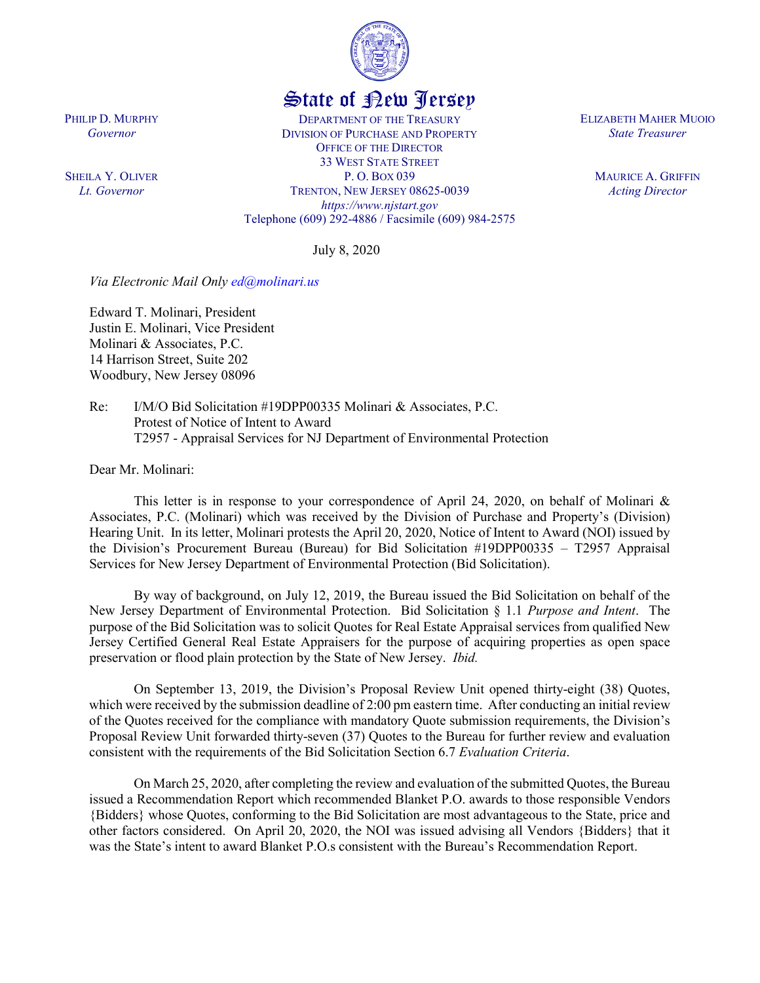

## State of New Jersey

DEPARTMENT OF THE TREASURY DIVISION OF PURCHASE AND PROPERTY OFFICE OF THE DIRECTOR 33 WEST STATE STREET P. O. BOX 039 TRENTON, NEW JERSEY 08625-0039 *https://www.njstart.gov* Telephone (609) 292-4886 / Facsimile (609) 984-2575

July 8, 2020

*Via Electronic Mail Only [ed@molinari.us](mailto:ed@molinari.us)*

Edward T. Molinari, President Justin E. Molinari, Vice President Molinari & Associates, P.C. 14 Harrison Street, Suite 202 Woodbury, New Jersey 08096

Re: I/M/O Bid Solicitation #19DPP00335 Molinari & Associates, P.C. Protest of Notice of Intent to Award T2957 - Appraisal Services for NJ Department of Environmental Protection

Dear Mr. Molinari:

PHILIP D. MURPHY *Governor*

SHEILA Y. OLIVER *Lt. Governor*

> This letter is in response to your correspondence of April 24, 2020, on behalf of Molinari & Associates, P.C. (Molinari) which was received by the Division of Purchase and Property's (Division) Hearing Unit. In its letter, Molinari protests the April 20, 2020, Notice of Intent to Award (NOI) issued by the Division's Procurement Bureau (Bureau) for Bid Solicitation #19DPP00335 – T2957 Appraisal Services for New Jersey Department of Environmental Protection (Bid Solicitation).

> By way of background, on July 12, 2019, the Bureau issued the Bid Solicitation on behalf of the New Jersey Department of Environmental Protection. Bid Solicitation § 1.1 *Purpose and Intent*. The purpose of the Bid Solicitation was to solicit Quotes for Real Estate Appraisal services from qualified New Jersey Certified General Real Estate Appraisers for the purpose of acquiring properties as open space preservation or flood plain protection by the State of New Jersey. *Ibid.*

> On September 13, 2019, the Division's Proposal Review Unit opened thirty-eight (38) Quotes, which were received by the submission deadline of 2:00 pm eastern time. After conducting an initial review of the Quotes received for the compliance with mandatory Quote submission requirements, the Division's Proposal Review Unit forwarded thirty-seven (37) Quotes to the Bureau for further review and evaluation consistent with the requirements of the Bid Solicitation Section 6.7 *Evaluation Criteria*.

> On March 25, 2020, after completing the review and evaluation of the submitted Quotes, the Bureau issued a Recommendation Report which recommended Blanket P.O. awards to those responsible Vendors {Bidders} whose Quotes, conforming to the Bid Solicitation are most advantageous to the State, price and other factors considered. On April 20, 2020, the NOI was issued advising all Vendors {Bidders} that it was the State's intent to award Blanket P.O.s consistent with the Bureau's Recommendation Report.

ELIZABETH MAHER MUOIO *State Treasurer*

> MAURICE A. GRIFFIN *Acting Director*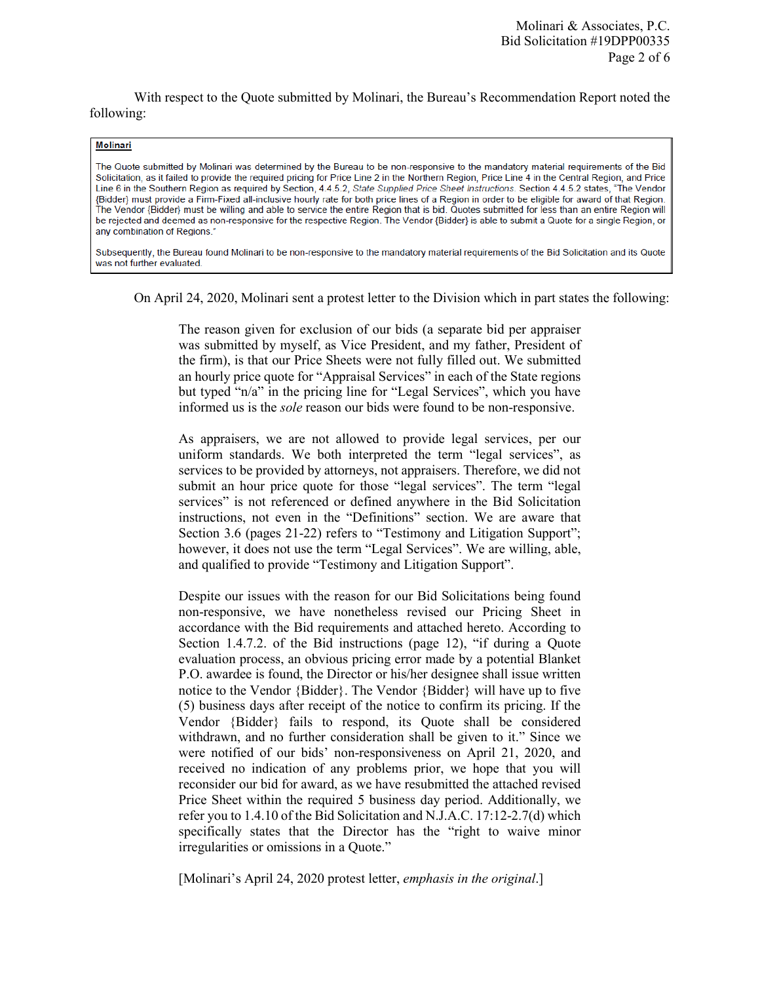With respect to the Quote submitted by Molinari, the Bureau's Recommendation Report noted the following:

## **Molinari**

The Quote submitted by Molinari was determined by the Bureau to be non-responsive to the mandatory material requirements of the Bid Solicitation, as it failed to provide the required pricing for Price Line 2 in the Northern Region, Price Line 4 in the Central Region, and Price Line 6 in the Southern Region as required by Section, 4.4.5.2, State Supplied Price Sheet Instructions. Section 4.4.5.2 states, "The Vendor {Bidder} must provide a Firm-Fixed all-inclusive hourly rate for both price lines of a Region in order to be eligible for award of that Region. The Vendor {Bidder} must be willing and able to service the entire Region that is bid. Quotes submitted for less than an entire Region will be rejected and deemed as non-responsive for the respective Region. The Vendor {Bidder} is able to submit a Quote for a single Region, or any combination of Regions."

Subsequently, the Bureau found Molinari to be non-responsive to the mandatory material requirements of the Bid Solicitation and its Quote was not further evaluated.

On April 24, 2020, Molinari sent a protest letter to the Division which in part states the following:

The reason given for exclusion of our bids (a separate bid per appraiser was submitted by myself, as Vice President, and my father, President of the firm), is that our Price Sheets were not fully filled out. We submitted an hourly price quote for "Appraisal Services" in each of the State regions but typed "n/a" in the pricing line for "Legal Services", which you have informed us is the *sole* reason our bids were found to be non-responsive.

As appraisers, we are not allowed to provide legal services, per our uniform standards. We both interpreted the term "legal services", as services to be provided by attorneys, not appraisers. Therefore, we did not submit an hour price quote for those "legal services". The term "legal services" is not referenced or defined anywhere in the Bid Solicitation instructions, not even in the "Definitions" section. We are aware that Section 3.6 (pages 21-22) refers to "Testimony and Litigation Support"; however, it does not use the term "Legal Services". We are willing, able, and qualified to provide "Testimony and Litigation Support".

Despite our issues with the reason for our Bid Solicitations being found non-responsive, we have nonetheless revised our Pricing Sheet in accordance with the Bid requirements and attached hereto. According to Section 1.4.7.2. of the Bid instructions (page 12), "if during a Quote evaluation process, an obvious pricing error made by a potential Blanket P.O. awardee is found, the Director or his/her designee shall issue written notice to the Vendor {Bidder}. The Vendor {Bidder} will have up to five (5) business days after receipt of the notice to confirm its pricing. If the Vendor {Bidder} fails to respond, its Quote shall be considered withdrawn, and no further consideration shall be given to it." Since we were notified of our bids' non-responsiveness on April 21, 2020, and received no indication of any problems prior, we hope that you will reconsider our bid for award, as we have resubmitted the attached revised Price Sheet within the required 5 business day period. Additionally, we refer you to 1.4.10 of the Bid Solicitation and N.J.A.C. 17:12-2.7(d) which specifically states that the Director has the "right to waive minor irregularities or omissions in a Quote."

[Molinari's April 24, 2020 protest letter, *emphasis in the original*.]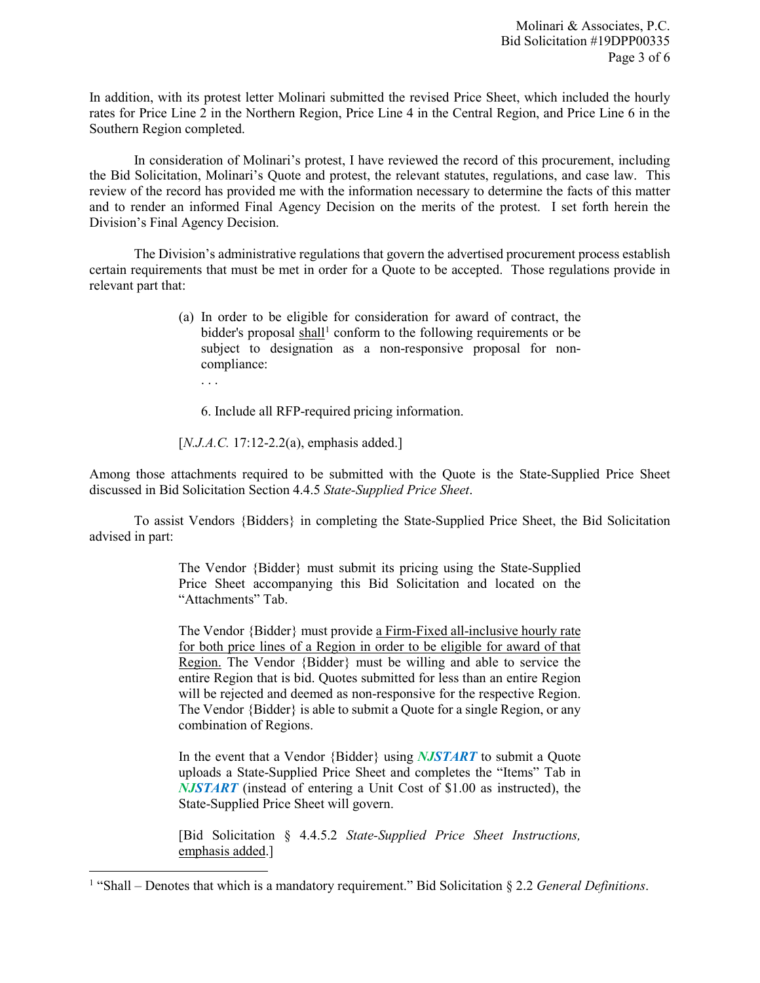In addition, with its protest letter Molinari submitted the revised Price Sheet, which included the hourly rates for Price Line 2 in the Northern Region, Price Line 4 in the Central Region, and Price Line 6 in the Southern Region completed.

In consideration of Molinari's protest, I have reviewed the record of this procurement, including the Bid Solicitation, Molinari's Quote and protest, the relevant statutes, regulations, and case law. This review of the record has provided me with the information necessary to determine the facts of this matter and to render an informed Final Agency Decision on the merits of the protest. I set forth herein the Division's Final Agency Decision.

The Division's administrative regulations that govern the advertised procurement process establish certain requirements that must be met in order for a Quote to be accepted. Those regulations provide in relevant part that:

- (a) In order to be eligible for consideration for award of contract, the bidder's proposal  $\frac{\text{shall}}{\text{1}}$  $\frac{\text{shall}}{\text{1}}$  $\frac{\text{shall}}{\text{1}}$  conform to the following requirements or be subject to designation as a non-responsive proposal for noncompliance:
	- . . .

l

6. Include all RFP-required pricing information.

[*N.J.A.C.* 17:12-2.2(a), emphasis added.]

Among those attachments required to be submitted with the Quote is the State-Supplied Price Sheet discussed in Bid Solicitation Section 4.4.5 *State-Supplied Price Sheet*.

To assist Vendors {Bidders} in completing the State-Supplied Price Sheet, the Bid Solicitation advised in part:

> The Vendor {Bidder} must submit its pricing using the State-Supplied Price Sheet accompanying this Bid Solicitation and located on the "Attachments" Tab.

> The Vendor {Bidder} must provide a Firm-Fixed all-inclusive hourly rate for both price lines of a Region in order to be eligible for award of that Region. The Vendor {Bidder} must be willing and able to service the entire Region that is bid. Quotes submitted for less than an entire Region will be rejected and deemed as non-responsive for the respective Region. The Vendor {Bidder} is able to submit a Quote for a single Region, or any combination of Regions.

> In the event that a Vendor {Bidder} using *NJSTART* to submit a Quote uploads a State-Supplied Price Sheet and completes the "Items" Tab in *NJSTART* (instead of entering a Unit Cost of \$1.00 as instructed), the State-Supplied Price Sheet will govern.

> [Bid Solicitation § 4.4.5.2 *State-Supplied Price Sheet Instructions,* emphasis added.]

<span id="page-2-0"></span><sup>1</sup> "Shall – Denotes that which is a mandatory requirement." Bid Solicitation § 2.2 *General Definitions*.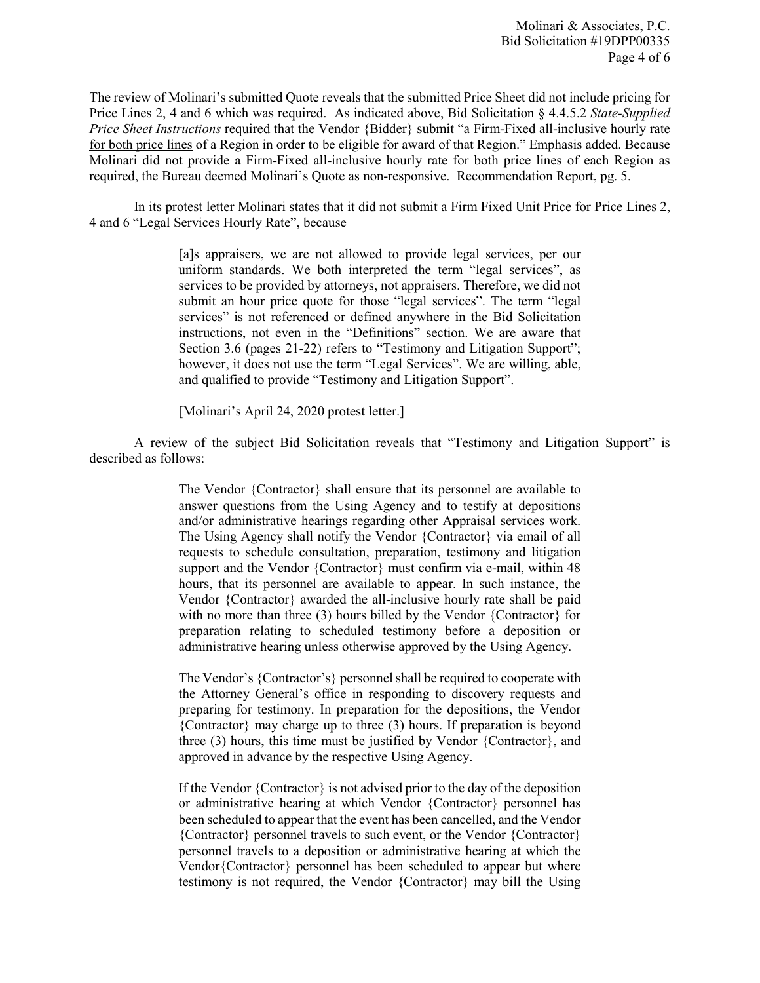Molinari & Associates, P.C. Bid Solicitation #19DPP00335 Page 4 of 6

The review of Molinari's submitted Quote reveals that the submitted Price Sheet did not include pricing for Price Lines 2, 4 and 6 which was required. As indicated above, Bid Solicitation § 4.4.5.2 *State-Supplied Price Sheet Instructions* required that the Vendor {Bidder} submit "a Firm-Fixed all-inclusive hourly rate for both price lines of a Region in order to be eligible for award of that Region." Emphasis added. Because Molinari did not provide a Firm-Fixed all-inclusive hourly rate for both price lines of each Region as required, the Bureau deemed Molinari's Quote as non-responsive. Recommendation Report, pg. 5.

In its protest letter Molinari states that it did not submit a Firm Fixed Unit Price for Price Lines 2, 4 and 6 "Legal Services Hourly Rate", because

> [a]s appraisers, we are not allowed to provide legal services, per our uniform standards. We both interpreted the term "legal services", as services to be provided by attorneys, not appraisers. Therefore, we did not submit an hour price quote for those "legal services". The term "legal services" is not referenced or defined anywhere in the Bid Solicitation instructions, not even in the "Definitions" section. We are aware that Section 3.6 (pages 21-22) refers to "Testimony and Litigation Support"; however, it does not use the term "Legal Services". We are willing, able, and qualified to provide "Testimony and Litigation Support".

[Molinari's April 24, 2020 protest letter.]

A review of the subject Bid Solicitation reveals that "Testimony and Litigation Support" is described as follows:

> The Vendor {Contractor} shall ensure that its personnel are available to answer questions from the Using Agency and to testify at depositions and/or administrative hearings regarding other Appraisal services work. The Using Agency shall notify the Vendor {Contractor} via email of all requests to schedule consultation, preparation, testimony and litigation support and the Vendor {Contractor} must confirm via e-mail, within 48 hours, that its personnel are available to appear. In such instance, the Vendor {Contractor} awarded the all-inclusive hourly rate shall be paid with no more than three (3) hours billed by the Vendor {Contractor} for preparation relating to scheduled testimony before a deposition or administrative hearing unless otherwise approved by the Using Agency.

> The Vendor's {Contractor's} personnel shall be required to cooperate with the Attorney General's office in responding to discovery requests and preparing for testimony. In preparation for the depositions, the Vendor {Contractor} may charge up to three (3) hours. If preparation is beyond three (3) hours, this time must be justified by Vendor {Contractor}, and approved in advance by the respective Using Agency.

> If the Vendor {Contractor} is not advised prior to the day of the deposition or administrative hearing at which Vendor {Contractor} personnel has been scheduled to appear that the event has been cancelled, and the Vendor {Contractor} personnel travels to such event, or the Vendor {Contractor} personnel travels to a deposition or administrative hearing at which the Vendor{Contractor} personnel has been scheduled to appear but where testimony is not required, the Vendor {Contractor} may bill the Using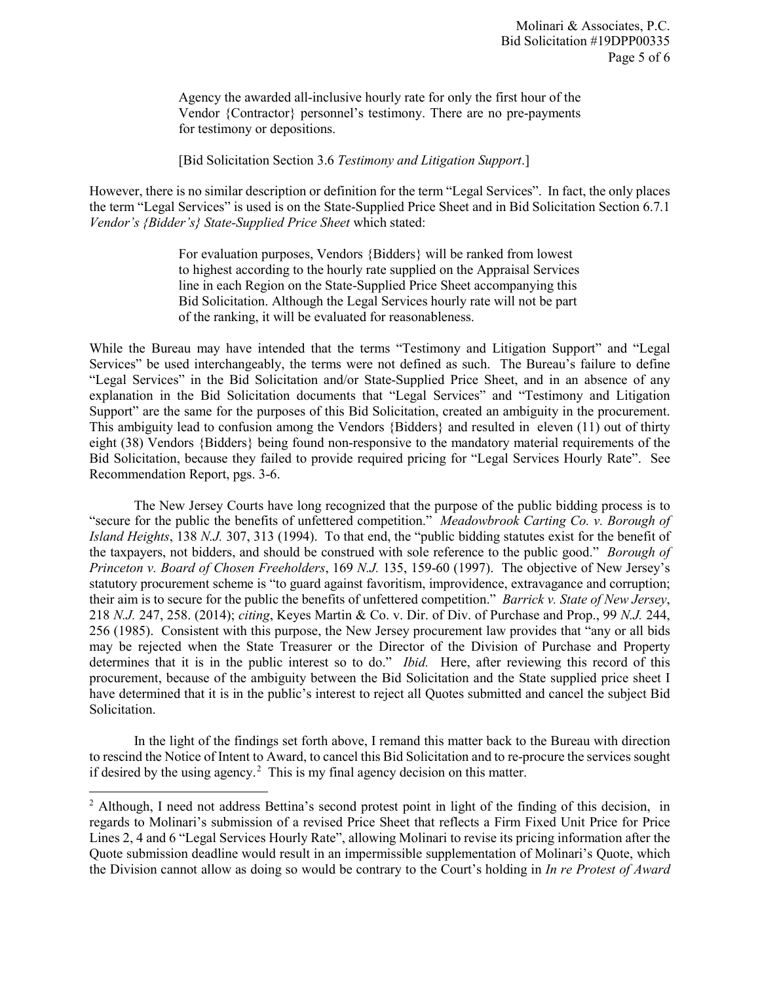Agency the awarded all-inclusive hourly rate for only the first hour of the Vendor {Contractor} personnel's testimony. There are no pre-payments for testimony or depositions.

[Bid Solicitation Section 3.6 *Testimony and Litigation Support*.]

However, there is no similar description or definition for the term "Legal Services". In fact, the only places the term "Legal Services" is used is on the State-Supplied Price Sheet and in Bid Solicitation Section 6.7.1 *Vendor's {Bidder's} State-Supplied Price Sheet* which stated:

> For evaluation purposes, Vendors {Bidders} will be ranked from lowest to highest according to the hourly rate supplied on the Appraisal Services line in each Region on the State-Supplied Price Sheet accompanying this Bid Solicitation. Although the Legal Services hourly rate will not be part of the ranking, it will be evaluated for reasonableness.

While the Bureau may have intended that the terms "Testimony and Litigation Support" and "Legal Services" be used interchangeably, the terms were not defined as such. The Bureau's failure to define "Legal Services" in the Bid Solicitation and/or State-Supplied Price Sheet, and in an absence of any explanation in the Bid Solicitation documents that "Legal Services" and "Testimony and Litigation Support" are the same for the purposes of this Bid Solicitation, created an ambiguity in the procurement. This ambiguity lead to confusion among the Vendors {Bidders} and resulted in eleven (11) out of thirty eight (38) Vendors {Bidders} being found non-responsive to the mandatory material requirements of the Bid Solicitation, because they failed to provide required pricing for "Legal Services Hourly Rate". See Recommendation Report, pgs. 3-6.

The New Jersey Courts have long recognized that the purpose of the public bidding process is to "secure for the public the benefits of unfettered competition." *Meadowbrook Carting Co. v. Borough of Island Heights*, 138 *N.J.* 307, 313 (1994). To that end, the "public bidding statutes exist for the benefit of the taxpayers, not bidders, and should be construed with sole reference to the public good." *Borough of Princeton v. Board of Chosen Freeholders*, 169 *N.J.* 135, 159-60 (1997). The objective of New Jersey's statutory procurement scheme is "to guard against favoritism, improvidence, extravagance and corruption; their aim is to secure for the public the benefits of unfettered competition." *Barrick v. State of New Jersey*, 218 *N.J.* 247, 258. (2014); *citing*, Keyes Martin & Co. v. Dir. of Div. of Purchase and Prop., 99 *N.J.* 244, 256 (1985). Consistent with this purpose, the New Jersey procurement law provides that "any or all bids may be rejected when the State Treasurer or the Director of the Division of Purchase and Property determines that it is in the public interest so to do." *Ibid.* Here, after reviewing this record of this procurement, because of the ambiguity between the Bid Solicitation and the State supplied price sheet I have determined that it is in the public's interest to reject all Quotes submitted and cancel the subject Bid Solicitation.

In the light of the findings set forth above, I remand this matter back to the Bureau with direction to rescind the Notice of Intent to Award, to cancel this Bid Solicitation and to re-procure the services sought if desired by the using agency.<sup>[2](#page-4-0)</sup> This is my final agency decision on this matter.

l

<span id="page-4-0"></span><sup>&</sup>lt;sup>2</sup> Although, I need not address Bettina's second protest point in light of the finding of this decision, in regards to Molinari's submission of a revised Price Sheet that reflects a Firm Fixed Unit Price for Price Lines 2, 4 and 6 "Legal Services Hourly Rate", allowing Molinari to revise its pricing information after the Quote submission deadline would result in an impermissible supplementation of Molinari's Quote, which the Division cannot allow as doing so would be contrary to the Court's holding in *In re Protest of Award*